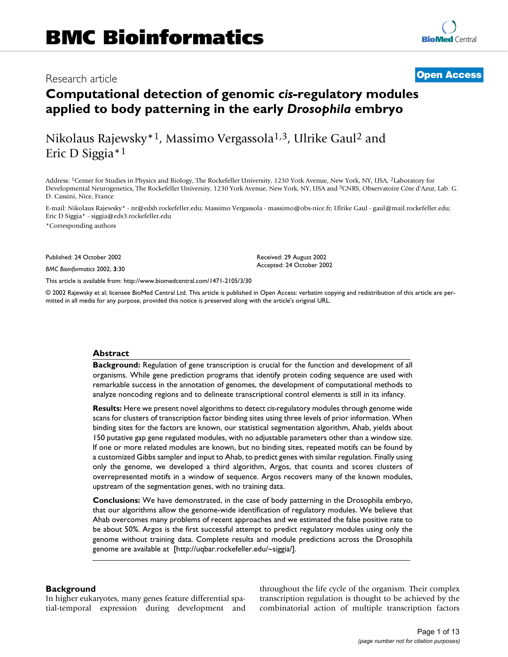# BMC Bioinformatics 2002, 3 <sup>x</sup> **[Open Access](http://www.biomedcentral.com/info/about/charter/)** Research article

# **Computational detection of genomic** *cis-***regulatory modules applied to body patterning in the early** *Drosophila* **embryo**

Nikolaus Rajewsky\*1, Massimo Vergassola1,3, Ulrike Gaul2 and Eric D Siggia\*1

Address: 1Center for Studies in Physics and Biology, The Rockefeller University, 1230 York Avenue, New York, NY, USA, 2Laboratory for Developmental Neurogenetics, The Rockefeller University, 1230 York Avenue, New York, NY, USA and 3CNRS, Observatoire Côte d'Azur, Lab. G. D. Cassini, Nice, France

E-mail: Nikolaus Rajewsky\* - nr@edsb.rockefeller.edu; Massimo Vergassola - massimo@obs-nice.fr; Ulrike Gaul - gaul@mail.rockefeller.edu; Eric D Siggia\* - siggia@eds3.rockefeller.edu \*Corresponding authors

Published: 24 October 2002

*BMC Bioinformatics* 2002, **3**:30

[This article is available from: http://www.biomedcentral.com/1471-2105/3/30](http://www.biomedcentral.com/1471-2105/3/30)

© 2002 Rajewsky et al; licensee BioMed Central Ltd. This article is published in Open Access: verbatim copying and redistribution of this article are permitted in all media for any purpose, provided this notice is preserved along with the article's original URL.

Received: 29 August 2002 Accepted: 24 October 2002

#### **Abstract**

**Background:** Regulation of gene transcription is crucial for the function and development of all organisms. While gene prediction programs that identify protein coding sequence are used with remarkable success in the annotation of genomes, the development of computational methods to analyze noncoding regions and to delineate transcriptional control elements is still in its infancy.

**Results:** Here we present novel algorithms to detect *cis-*regulatory modules through genome wide scans for clusters of transcription factor binding sites using three levels of prior information. When binding sites for the factors are known, our statistical segmentation algorithm, Ahab, yields about 150 putative gap gene regulated modules, with no adjustable parameters other than a window size. If one or more related modules are known, but no binding sites, repeated motifs can be found by a customized Gibbs sampler and input to Ahab, to predict genes with similar regulation. Finally using only the genome, we developed a third algorithm, Argos, that counts and scores clusters of overrepresented motifs in a window of sequence. Argos recovers many of the known modules, upstream of the segmentation genes, with no training data.

**Conclusions:** [We have demonstrated, in the case of body patterning in the Drosophila embryo,](http://uqbar.rockefeller.edu/~siggia/) that our algorithms allow the genome-wide identification of regulatory modules. We believe that [Ahab overcomes many problems of recent approaches and we estimated the false positive rate to](http://uqbar.rockefeller.edu/~siggia/) be about 50%. Argos is the first successful attempt to predict regulatory modules using only the genome without training data. Complete results and module predictions across the Drosophila genome are available at [http://uqbar.rockefeller.edu/~siggia/].

#### **Background**

In higher eukaryotes, many genes feature differential spatial-temporal expression during development and throughout the life cycle of the organism. Their complex transcription regulation is thought to be achieved by the combinatorial action of multiple transcription factors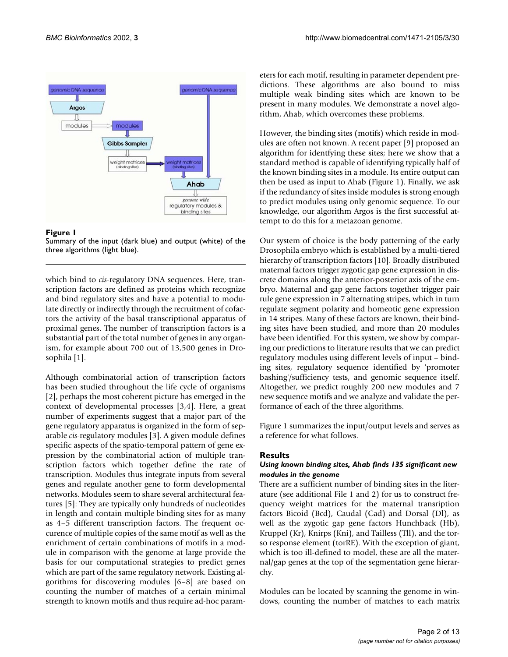

#### **Figure 1**

Summary of the input (dark blue) and output (white) of the three algorithms (light blue).

which bind to *cis-*regulatory DNA sequences. Here, transcription factors are defined as proteins which recognize and bind regulatory sites and have a potential to modulate directly or indirectly through the recruitment of cofactors the activity of the basal transcriptional apparatus of proximal genes. The number of transcription factors is a substantial part of the total number of genes in any organism, for example about 700 out of 13,500 genes in Drosophila [1].

Although combinatorial action of transcription factors has been studied throughout the life cycle of organisms [2], perhaps the most coherent picture has emerged in the context of developmental processes [3,4]. Here, a great number of experiments suggest that a major part of the gene regulatory apparatus is organized in the form of separable *cis-*regulatory modules [3]. A given module defines specific aspects of the spatio-temporal pattern of gene expression by the combinatorial action of multiple transcription factors which together define the rate of transcription. Modules thus integrate inputs from several genes and regulate another gene to form developmental networks. Modules seem to share several architectural features [5]: They are typically only hundreds of nucleotides in length and contain multiple binding sites for as many as 4–5 different transcription factors. The frequent occurence of multiple copies of the same motif as well as the enrichment of certain combinations of motifs in a module in comparison with the genome at large provide the basis for our computational strategies to predict genes which are part of the same regulatory network. Existing algorithms for discovering modules [6–8] are based on counting the number of matches of a certain minimal strength to known motifs and thus require ad-hoc parameters for each motif, resulting in parameter dependent predictions. These algorithms are also bound to miss multiple weak binding sites which are known to be present in many modules. We demonstrate a novel algorithm, Ahab, which overcomes these problems.

However, the binding sites (motifs) which reside in modules are often not known. A recent paper [9] proposed an algorithm for identfying these sites; here we show that a standard method is capable of identifying typically half of the known binding sites in a module. Its entire output can then be used as input to Ahab (Figure 1). Finally, we ask if the redundancy of sites inside modules is strong enough to predict modules using only genomic sequence. To our knowledge, our algorithm Argos is the first successful attempt to do this for a metazoan genome.

Our system of choice is the body patterning of the early Drosophila embryo which is established by a multi-tiered hierarchy of transcription factors [10]. Broadly distributed maternal factors trigger zygotic gap gene expression in discrete domains along the anterior-posterior axis of the embryo. Maternal and gap gene factors together trigger pair rule gene expression in 7 alternating stripes, which in turn regulate segment polarity and homeotic gene expression in 14 stripes. Many of these factors are known, their binding sites have been studied, and more than 20 modules have been identified. For this system, we show by comparing our predictions to literature results that we can predict regulatory modules using different levels of input – binding sites, regulatory sequence identified by 'promoter bashing'/sufficiency tests, and genomic sequence itself. Altogether, we predict roughly 200 new modules and 7 new sequence motifs and we analyze and validate the performance of each of the three algorithms.

Figure 1 summarizes the input/output levels and serves as a reference for what follows.

#### **Results**

#### *Using known binding sites, Ahab finds 135 significant new modules in the genome*

There are a sufficient number of binding sites in the literature (see additional File 1 and 2) for us to construct frequency weight matrices for the maternal transription factors Bicoid (Bcd), Caudal (Cad) and Dorsal (Dl), as well as the zygotic gap gene factors Hunchback (Hb), Kruppel (Kr), Knirps (Kni), and Tailless (Tll), and the torso response element (torRE). With the exception of giant, which is too ill-defined to model, these are all the maternal/gap genes at the top of the segmentation gene hierarchy.

Modules can be located by scanning the genome in windows, counting the number of matches to each matrix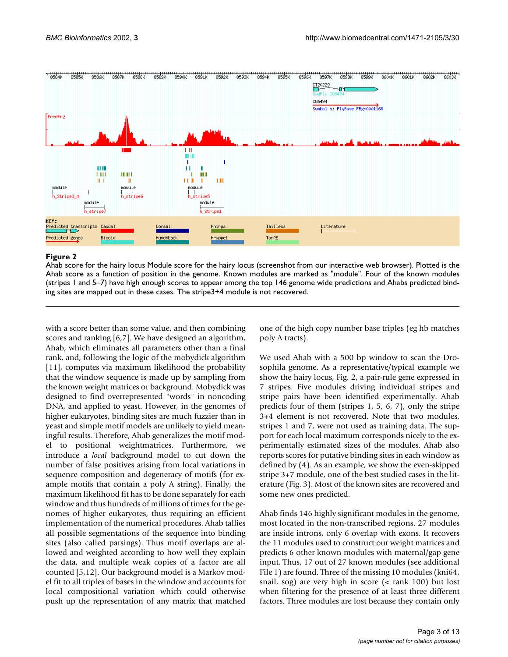

#### **Figure 2**

Ahab score for the hairy locus Module score for the hairy locus (screenshot from our interactive web browser). Plotted is the Ahab score as a function of position in the genome. Known modules are marked as "module". Four of the known modules (stripes 1 and 5–7) have high enough scores to appear among the top 146 genome wide predictions and Ahabs predicted binding sites are mapped out in these cases. The stripe3+4 module is not recovered.

with a score better than some value, and then combining scores and ranking [6,7]. We have designed an algorithm, Ahab, which eliminates all parameters other than a final rank, and, following the logic of the mobydick algorithm [11], computes via maximum likelihood the probability that the window sequence is made up by sampling from the known weight matrices or background. Mobydick was designed to find overrepresented "words" in noncoding DNA, and applied to yeast. However, in the genomes of higher eukaryotes, binding sites are much fuzzier than in yeast and simple motif models are unlikely to yield meaningful results. Therefore, Ahab generalizes the motif model to positional weightmatrices. Furthermore, we introduce a *local* background model to cut down the number of false positives arising from local variations in sequence composition and degeneracy of motifs (for example motifs that contain a poly A string). Finally, the maximum likelihood fit has to be done separately for each window and thus hundreds of millions of times for the genomes of higher eukaryotes, thus requiring an efficient implementation of the numerical procedures. Ahab tallies all possible segmentations of the sequence into binding sites (also called parsings). Thus motif overlaps are allowed and weighted according to how well they explain the data, and multiple weak copies of a factor are all counted [5,12]. Our background model is a Markov model fit to all triples of bases in the window and accounts for local compositional variation which could otherwise push up the representation of any matrix that matched

one of the high copy number base triples (eg hb matches poly A tracts).

We used Ahab with a 500 bp window to scan the Drosophila genome. As a representative/typical example we show the hairy locus, Fig. 2, a pair-rule gene expressed in 7 stripes. Five modules driving individual stripes and stripe pairs have been identified experimentally. Ahab predicts four of them (stripes 1, 5, 6, 7), only the stripe 3+4 element is not recovered. Note that two modules, stripes 1 and 7, were not used as training data. The support for each local maximum corresponds nicely to the experimentally estimated sizes of the modules. Ahab also reports scores for putative binding sites in each window as defined by (4). As an example, we show the even-skipped stripe 3+7 module, one of the best studied cases in the literature (Fig. [3\)](#page-3-0). Most of the known sites are recovered and some new ones predicted.

Ahab finds 146 highly significant modules in the genome, most located in the non-transcribed regions. 27 modules are inside introns, only 6 overlap with exons. It recovers the 11 modules used to construct our weight matrices and predicts 6 other known modules with maternal/gap gene input. Thus, 17 out of 27 known modules (see additional File 1) are found. Three of the missing 10 modules (kni64, snail, sog) are very high in score (< rank 100) but lost when filtering for the presence of at least three different factors. Three modules are lost because they contain only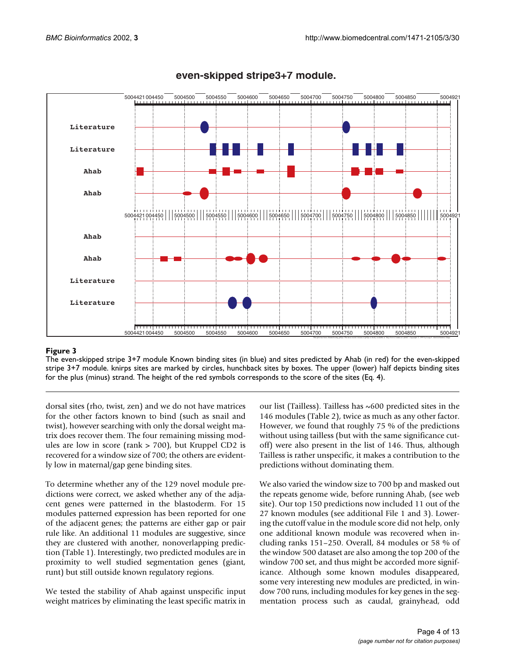

# **even-skipped stripe3+7 module.**

# <span id="page-3-0"></span>**Figure 3**

The even-skipped stripe 3+7 module Known binding sites (in blue) and sites predicted by Ahab (in red) for the even-skipped stripe 3+7 module. knirps sites are marked by circles, hunchback sites by boxes. The upper (lower) half depicts binding sites for the plus (minus) strand. The height of the red symbols corresponds to the score of the sites (Eq. 4).

dorsal sites (rho, twist, zen) and we do not have matrices for the other factors known to bind (such as snail and twist), however searching with only the dorsal weight matrix does recover them. The four remaining missing modules are low in score (rank > 700), but Kruppel CD2 is recovered for a window size of 700; the others are evidently low in maternal/gap gene binding sites.

To determine whether any of the 129 novel module predictions were correct, we asked whether any of the adjacent genes were patterned in the blastoderm. For 15 modules patterned expression has been reported for one of the adjacent genes; the patterns are either gap or pair rule like. An additional 11 modules are suggestive, since they are clustered with another, nonoverlapping prediction (Table 1). Interestingly, two predicted modules are in proximity to well studied segmentation genes (giant, runt) but still outside known regulatory regions.

We tested the stability of Ahab against unspecific input weight matrices by eliminating the least specific matrix in

our list (Tailless). Tailless has ~600 predicted sites in the 146 modules (Table 2), twice as much as any other factor. However, we found that roughly 75 % of the predictions without using tailless (but with the same significance cutoff) were also present in the list of 146. Thus, although Tailless is rather unspecific, it makes a contribution to the predictions without dominating them.

We also varied the window size to 700 bp and masked out the repeats genome wide, before running Ahab, (see web site). Our top 150 predictions now included 11 out of the 27 known modules (see additional File 1 and 3). Lowering the cutoff value in the module score did not help, only one additional known module was recovered when including ranks 151–250. Overall, 84 modules or 58 % of the window 500 dataset are also among the top 200 of the window 700 set, and thus might be accorded more significance. Although some known modules disappeared, some very interesting new modules are predicted, in window 700 runs, including modules for key genes in the segmentation process such as caudal, grainyhead, odd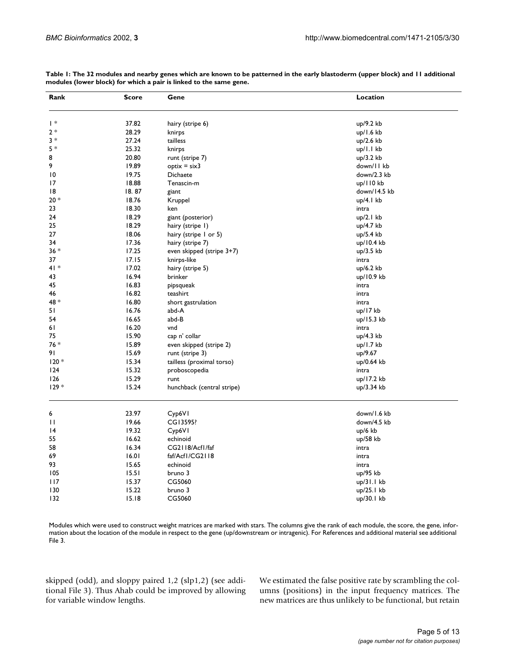| Rank            | Score | Gene                        | Location     |
|-----------------|-------|-----------------------------|--------------|
| *               | 37.82 | hairy (stripe 6)            | up/9.2 kb    |
| $2*$            | 28.29 | knirps                      | up/1.6 kb    |
| $3 *$           | 27.24 | tailless                    | up/2.6 kb    |
| $5*$            | 25.32 | knirps                      | up/I.I kb    |
| 8               | 20.80 | runt (stripe 7)             | up/3.2 kb    |
| 9               | 19.89 | $optix = six3$              | down/11 kb   |
| 10              | 19.75 | Dichaete                    | down/2.3 kb  |
| 17              | 18.88 | Tenascin-m                  | up/110 kb    |
| 18              | 18.87 | giant                       | down/14.5 kb |
| $20 *$          | 18.76 | Kruppel                     | up/4.1 kb    |
| 23              | 18.30 | ken                         | intra        |
| 24              | 18.29 | giant (posterior)           | up/2.1 kb    |
| 25              | 18.29 | hairy (stripe 1)            | up/4.7 kb    |
| 27              | 18.06 | hairy (stripe I or 5)       | up/5.4 kb    |
| 34              | 17.36 | hairy (stripe 7)            | up/10.4 kb   |
| $36 *$          | 17.25 | even skipped (stripe 3+7)   | up/3.5 kb    |
| 37              | 17.15 | knirps-like                 | intra        |
| $41*$           | 17.02 |                             |              |
| 43              | 16.94 | hairy (stripe 5)<br>brinker | up/6.2 kb    |
| 45              | 16.83 |                             | up/10.9 kb   |
|                 |       | pipsqueak                   | intra        |
| 46              | 16.82 | teashirt                    | intra        |
| 48 *            | 16.80 | short gastrulation          | intra        |
| 51              | 16.76 | abd-A                       | up/17 kb     |
| 54              | 16.65 | abd-B                       | up/15.3 kb   |
| 61              | 16.20 | vnd                         | intra        |
| 75              | 15.90 | cap n' collar               | up/4.3 kb    |
| $76*$           | 15.89 | even skipped (stripe 2)     | $up/1.7$ kb  |
| 91              | 15.69 | runt (stripe 3)             | up/9.67      |
| $120*$          | 15.34 | tailless (proximal torso)   | up/0.64 kb   |
| 124             | 15.32 | proboscopedia               | intra        |
| 126             | 15.29 | runt                        | up/17.2 kb   |
| $129*$          | 15.24 | hunchback (central stripe)  | up/3.34 kb   |
| 6               | 23.97 | Cyp6VI                      | down/1.6 kb  |
| П               | 19.66 | CG13595?                    | down/4.5 kb  |
| $\overline{14}$ | 19.32 | Cyp6VI                      | up/6 kb      |
| 55              | 16.62 | echinoid                    | up/58 kb     |
| 58              | 16.34 | CG2118/Acf1/faf             | intra        |
| 69              | 16.01 | faf/Acf1/CG2118             | intra        |
| 93              | 15.65 | echinoid                    | intra        |
| 105             | 15.51 | bruno 3                     | up/95 kb     |
| 117             | 15.37 | CG5060                      | up/31.1 kb   |
| 130             | 15.22 | bruno 3                     | up/25.1 kb   |
| 132             | 15.18 | CG5060                      |              |
|                 |       |                             | up/30.1 kb   |

**Table 1: The 32 modules and nearby genes which are known to be patterned in the early blastoderm (upper block) and 11 additional modules (lower block) for which a pair is linked to the same gene.**

Modules which were used to construct weight matrices are marked with stars. The columns give the rank of each module, the score, the gene, information about the location of the module in respect to the gene (up/downstream or intragenic). For References and additional material see additional File 3.

skipped (odd), and sloppy paired 1,2 (slp1,2) (see additional File 3). Thus Ahab could be improved by allowing for variable window lengths.

We estimated the false positive rate by scrambling the columns (positions) in the input frequency matrices. The new matrices are thus unlikely to be functional, but retain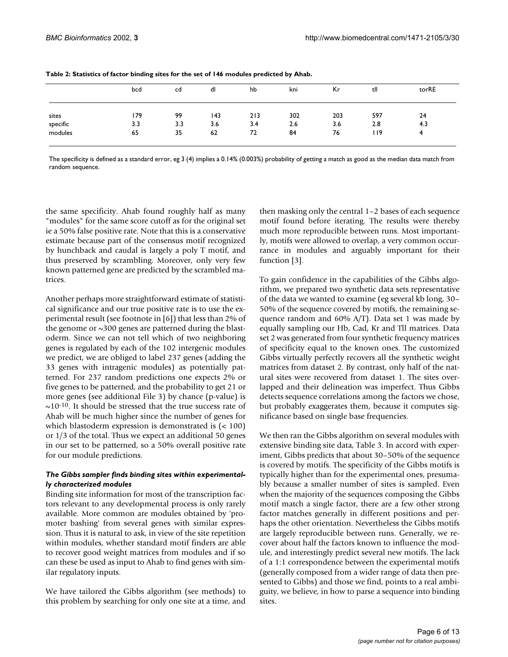|          | bcd | cd  | dl  | hb  | kni | Кr  | tll | torRE |
|----------|-----|-----|-----|-----|-----|-----|-----|-------|
| sites    | 179 | 99  | 143 | 213 | 302 | 203 | 597 | 24    |
| specific | 3.3 | 3.3 | 3.6 | 3.4 | 2.6 | 3.6 | 2.8 | 4.3   |
| modules  | 65  | 35  | 62  | 72  | 84  | 76  | 119 | 4     |

The specificity is defined as a standard error, eg 3 (4) implies a 0.14% (0.003%) probability of getting a match as good as the median data match from random sequence.

the same specificity. Ahab found roughly half as many "modules" for the same score cutoff as for the original set ie a 50% false positive rate. Note that this is a conservative estimate because part of the consensus motif recognized by hunchback and caudal is largely a poly T motif, and thus preserved by scrambling. Moreover, only very few known patterned gene are predicted by the scrambled matrices.

Another perhaps more straightforward estimate of statistical significance and our true positive rate is to use the experimental result (see footnote in [6]) that less than 2% of the genome or  $\sim$ 300 genes are patterned during the blastoderm. Since we can not tell which of two neighboring genes is regulated by each of the 102 intergenic modules we predict, we are obliged to label 237 genes (adding the 33 genes with intragenic modules) as potentially patterned. For 237 random predictions one expects 2% or five genes to be patterned, and the probability to get 21 or more genes (see additional File 3) by chance (p-value) is  $\sim$ 10<sup>-10</sup>. It should be stressed that the true success rate of Ahab will be much higher since the number of genes for which blastoderm expression is demonstrated is (< 100) or 1/3 of the total. Thus we expect an additional 50 genes in our set to be patterned, so a 50% overall positive rate for our module predictions.

#### *The Gibbs sampler finds binding sites within experimentally characterized modules*

Binding site information for most of the transcription factors relevant to any developmental process is only rarely available. More common are modules obtained by 'promoter bashing' from several genes with similar expression. Thus it is natural to ask, in view of the site repetition within modules, whether standard motif finders are able to recover good weight matrices from modules and if so can these be used as input to Ahab to find genes with similar regulatory inputs.

We have tailored the Gibbs algorithm (see methods) to this problem by searching for only one site at a time, and

then masking only the central 1–2 bases of each sequence motif found before iterating. The results were thereby much more reproducible between runs. Most importantly, motifs were allowed to overlap, a very common occurrance in modules and arguably important for their function [3].

To gain confidence in the capabilities of the Gibbs algorithm, we prepared two synthetic data sets representative of the data we wanted to examine (eg several kb long, 30– 50% of the sequence covered by motifs, the remaining sequence random and 60% A/T). Data set 1 was made by equally sampling our Hb, Cad, Kr and Tll matrices. Data set 2 was generated from four synthetic frequency matrices of specificity equal to the known ones. The customized Gibbs virtually perfectly recovers all the synthetic weight matrices from dataset 2. By contrast, only half of the natural sites were recovered from dataset 1. The sites overlapped and their delineation was imperfect. Thus Gibbs detects sequence correlations among the factors we chose, but probably exaggerates them, because it computes significance based on single base frequencies.

We then ran the Gibbs algorithm on several modules with extensive binding site data, Table 3. In accord with experiment, Gibbs predicts that about 30–50% of the sequence is covered by motifs. The specificity of the Gibbs motifs is typically higher than for the experimental ones, presumably because a smaller number of sites is sampled. Even when the majority of the sequences composing the Gibbs motif match a single factor, there are a few other strong factor matches generally in different positions and perhaps the other orientation. Nevertheless the Gibbs motifs are largely reproducible between runs. Generally, we recover about half the factors known to influence the module, and interestingly predict several new motifs. The lack of a 1:1 correspondence between the experimental motifs (generally composed from a wider range of data then presented to Gibbs) and those we find, points to a real ambiguity, we believe, in how to parse a sequence into binding sites.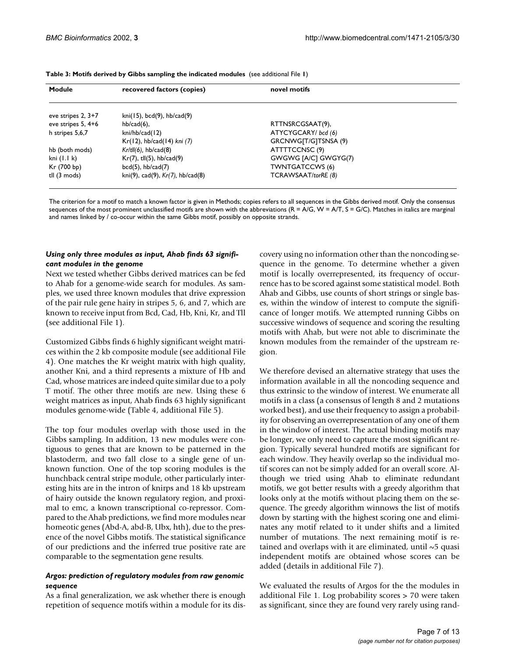| Module               | recovered factors (copies)                    | novel motifs           |  |
|----------------------|-----------------------------------------------|------------------------|--|
| eve stripes $2, 3+7$ | $kni(15)$ , bcd $(9)$ , hb/cad $(9)$          |                        |  |
| eve stripes 5, 4+6   | $hb/cad(6)$ ,                                 | RTTNSRCGSAAT(9),       |  |
| h stripes 5,6,7      | kni/hb/cad(12)                                | ATYCYGCARY/ bcd (6)    |  |
|                      | $Kr(12)$ , hb/cad $(14)$ kni $(7)$            | GRCNWG[T/G]TSNSA (9)   |  |
| hb (both mods)       | $Kr/tll(6)$ , hb/cad $(8)$                    | ATTTTCCNSC(9)          |  |
| kni $(1.1 k)$        | $Kr(7)$ , tll $(5)$ , hb/cad $(9)$            | GWGWG [A/C] GWGYG(7)   |  |
| Kr (700 bp)          | $bcd(5)$ , $hb/cad(7)$                        | <b>TWNTGATCCWS (6)</b> |  |
| tll (3 mods)         | $kni(9)$ , cad $(9)$ , $Kr(7)$ , hb/cad $(8)$ | TCRAWSAAT/torRE (8)    |  |

**Table 3: Motifs derived by Gibbs sampling the indicated modules** (see additional File **1**)

The criterion for a motif to match a known factor is given in Methods; copies refers to all sequences in the Gibbs derived motif. Only the consensus sequences of the most prominent unclassified motifs are shown with the abbreviations  $(R = A/G, W = A/T, S = G/C)$ . Matches in italics are marginal and names linked by / co-occur within the same Gibbs motif, possibly on opposite strands.

#### *Using only three modules as input, Ahab finds 63 significant modules in the genome*

Next we tested whether Gibbs derived matrices can be fed to Ahab for a genome-wide search for modules. As samples, we used three known modules that drive expression of the pair rule gene hairy in stripes 5, 6, and 7, which are known to receive input from Bcd, Cad, Hb, Kni, Kr, and Tll (see additional File 1).

Customized Gibbs finds 6 highly significant weight matrices within the 2 kb composite module (see additional File 4). One matches the Kr weight matrix with high quality, another Kni, and a third represents a mixture of Hb and Cad, whose matrices are indeed quite similar due to a poly T motif. The other three motifs are new. Using these 6 weight matrices as input, Ahab finds 63 highly significant modules genome-wide (Table 4, additional File 5).

The top four modules overlap with those used in the Gibbs sampling. In addition, 13 new modules were contiguous to genes that are known to be patterned in the blastoderm, and two fall close to a single gene of unknown function. One of the top scoring modules is the hunchback central stripe module, other particularly interesting hits are in the intron of knirps and 18 kb upstream of hairy outside the known regulatory region, and proximal to emc, a known transcriptional co-repressor. Compared to the Ahab predictions, we find more modules near homeotic genes (Abd-A, abd-B, Ubx, hth), due to the presence of the novel Gibbs motifs. The statistical significance of our predictions and the inferred true positive rate are comparable to the segmentation gene results.

#### *Argos: prediction of regulatory modules from raw genomic sequence*

As a final generalization, we ask whether there is enough repetition of sequence motifs within a module for its discovery using no information other than the noncoding sequence in the genome. To determine whether a given motif is locally overrepresented, its frequency of occurrence has to be scored against some statistical model. Both Ahab and Gibbs, use counts of short strings or single bases, within the window of interest to compute the significance of longer motifs. We attempted running Gibbs on successive windows of sequence and scoring the resulting motifs with Ahab, but were not able to discriminate the known modules from the remainder of the upstream region.

We therefore devised an alternative strategy that uses the information available in all the noncoding sequence and thus extrinsic to the window of interest. We enumerate all motifs in a class (a consensus of length 8 and 2 mutations worked best), and use their frequency to assign a probability for observing an overrepresentation of any one of them in the window of interest. The actual binding motifs may be longer, we only need to capture the most significant region. Typically several hundred motifs are significant for each window. They heavily overlap so the individual motif scores can not be simply added for an overall score. Although we tried using Ahab to eliminate redundant motifs, we got better results with a greedy algorithm that looks only at the motifs without placing them on the sequence. The greedy algorithm winnows the list of motifs down by starting with the highest scoring one and eliminates any motif related to it under shifts and a limited number of mutations. The next remaining motif is retained and overlaps with it are eliminated, until  $\sim$ 5 quasi independent motifs are obtained whose scores can be added (details in additional File 7).

We evaluated the results of Argos for the the modules in additional File 1. Log probability scores > 70 were taken as significant, since they are found very rarely using rand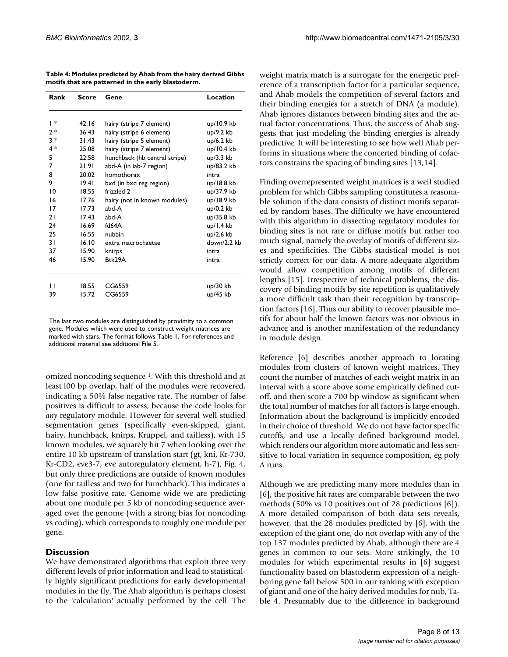**Table 4: Modules predicted by Ahab from the hairy derived Gibbs motifs that are patterned in the early blastoderm.**

| Rank<br>Score |                | Gene                          | Location                 |  |
|---------------|----------------|-------------------------------|--------------------------|--|
|               |                |                               |                          |  |
| ∗             | 42.16          | hairy (stripe 7 element)      | $up/10.9$ kb             |  |
| $2*$          | 36.43          | hairy (stripe 6 element)      | up/9.2 kb                |  |
| $3*$          | 31.43          | hairy (stripe 5 element)      | up/6.2 kb                |  |
| $4*$          | 25.08          | hairy (stripe 7 element)      | up/10.4 kb               |  |
| 5             | 22.58          | hunchback (hb central stripe) | $up/3.3$ kb              |  |
| 7             | 21.91          | abd-A (in iab-7 region)       | up/83.2 kb               |  |
| 8             | 20.02          | homothorax                    | intra                    |  |
| 9             | 19.41          | bxd (in bxd reg region)       | up/18.8 kb               |  |
| 10<br>16      | 18.55<br>17.76 | frizzled 2                    | up/37.9 kb<br>up/18.9 kb |  |
|               |                | hairy (not in known modules)  |                          |  |
| 17            | 17.73          | abd-A                         | up/0.2 kb                |  |
| 21            | 17.43          | abd-A                         | up/35.8 kb               |  |
| 24            | 16.69          | fd64A                         | up/1.4 kb                |  |
| 25            | 16.55          | nubbin                        | up/2.6 kb                |  |
| 31            | 16.10          | extra macrochaetae            | down/2.2 kb              |  |
| 37            | 15.90          | knirps                        | intra                    |  |
| 46            | 15.90          | Btk29A                        | intra                    |  |
| п             |                |                               |                          |  |
|               | 18.55          | CG6559                        | $up/30$ kb               |  |
| 39            | 15.72          | CG6559                        | $up/45$ kb               |  |

The last two modules are distinguished by proximity to a common gene. Modules which were used to construct weight matrices are marked with stars. The format follows Table 1. For references and additional material see additional File 5.

omized noncoding sequence 1. With this threshold and at least l00 bp overlap, half of the modules were recovered, indicating a 50% false negative rate. The number of false positives is difficult to assess, because the code looks for *any* regulatory module. However for several well studied segmentation genes (specifically even-skipped, giant, hairy, hunchback, knirps, Kruppel, and tailless), with 15 known modules, we squarely hit 7 when looking over the entire 10 kb upstream of translation start (gt, kni, Kr-730, Kr-CD2, eve3-7, eve autoregulatory element, h-7), Fig. [4,](#page-8-0) but only three predictions are outside of known modules (one for tailless and two for hunchback). This indicates a low false positive rate. Genome wide we are predicting about one module per 5 kb of noncoding sequence averaged over the genome (with a strong bias for noncoding vs coding), which corresponds to roughly one module per gene.

#### **Discussion**

We have demonstrated algorithms that exploit three very different levels of prior information and lead to statistically highly significant predictions for early developmental modules in the fly. The Ahab algorithm is perhaps closest to the 'calculation' actually performed by the cell. The weight matrix match is a surrogate for the energetic preference of a transcription factor for a particular sequence, and Ahab models the competition of several factors and their binding energies for a stretch of DNA (a module). Ahab ignores distances between binding sites and the actual factor concentrations. Thus, the success of Ahab suggests that just modeling the binding energies is already predictive. It will be interesting to see how well Ahab performs in situations where the concerted binding of cofactors constrains the spacing of binding sites [13,14].

Finding overrepresented weight matrices is a well studied problem for which Gibbs sampling constitutes a reasonable solution if the data consists of distinct motifs separated by random bases. The difficulty we have encountered with this algorithm in dissecting regulatory modules for binding sites is not rare or diffuse motifs but rather too much signal, namely the overlay of motifs of different sizes and specificities. The Gibbs statistical model is not strictly correct for our data. A more adequate algorithm would allow competition among motifs of different lengths [15]. Irrespective of technical problems, the discovery of binding motifs by site repetition is qualitatively a more difficult task than their recognition by transcription factors [16]. Thus our ability to recover plausible motifs for about half the known factors was not obvious in advance and is another manifestation of the redundancy in module design.

Reference [6] describes another approach to locating modules from clusters of known weight matrices. They count the number of matches of each weight matrix in an interval with a score above some empirically defined cutoff, and then score a 700 bp window as significant when the total number of matches for all factors is large enough. Information about the background is implicitly encoded in their choice of threshold. We do not have factor specific cutoffs, and use a locally defined background model, which renders our algorithm more automatic and less sensitive to local variation in sequence composition, eg poly A runs.

Although we are predicting many more modules than in [6], the positive hit rates are comparable between the two methods (50% vs 10 positives out of 28 predictions [6]). A more detailed comparison of both data sets reveals, however, that the 28 modules predicted by [6], with the exception of the giant one, do not overlap with any of the top 137 modules predicted by Ahab, although there are 4 genes in common to our sets. More strikingly, the 10 modules for which experimental results in [6] suggest functionality based on blastoderm expression of a neighboring gene fall below 500 in our ranking with exception of giant and one of the hairy derived modules for nub, Table 4. Presumably due to the difference in background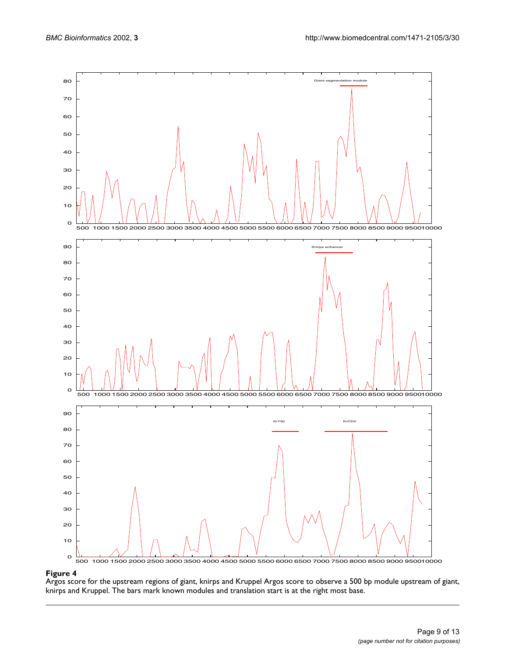

#### <span id="page-8-0"></span>**Figure 4**

Argos score for the upstream regions of giant, knirps and Kruppel Argos score to observe a 500 bp module upstream of giant, knirps and Kruppel. The bars mark known modules and translation start is at the right most base.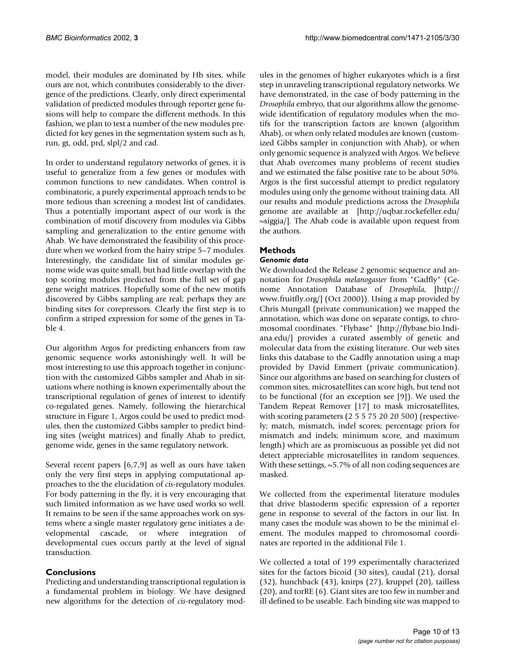model, their modules are dominated by Hb sites, while ours are not, which contributes considerably to the divergence of the predictions. Clearly, only direct experimental validation of predicted modules through reporter gene fusions will help to compare the different methods. In this fashion, we plan to test a number of the new modules predicted for key genes in the segmentation system such as h, run, gt, odd, prd, slpl/2 and cad.

In order to understand regulatory networks of genes, it is useful to generalize from a few genes or modules with common functions to new candidates. When control is combinatoric, a purely experimental approach tends to be more tedious than screening a modest list of candidates. Thus a potentially important aspect of our work is the combination of motif discovery from modules via Gibbs sampling and generalization to the entire genome with Ahab. We have demonstrated the feasibility of this procedure when we worked from the hairy stripe 5–7 modules. Interestingly, the candidate list of similar modules genome wide was quite small, but had little overlap with the top scoring modules predicted from the full set of gap gene weight matrices. Hopefully some of the new motifs discovered by Gibbs sampling are real; perhaps they are binding sites for corepressors. Clearly the first step is to confirm a striped expression for some of the genes in Table 4.

Our algorithm Argos for predicting enhancers from raw genomic sequence works astonishingly well. It will be most interesting to use this approach together in conjunction with the customized Gibbs sampler and Ahab in situations where nothing is known experimentally about the transcriptional regulation of genes of interest to identify co-regulated genes. Namely, following the hierarchical structure in Figure 1, Argos could be used to predict modules, then the customized Gibbs sampler to predict binding sites (weight matrices) and finally Ahab to predict, genome wide, genes in the same regulatory network.

Several recent papers [6,7,9] as well as ours have taken only the very first steps in applying computational approaches to the the elucidation of *cis-*regulatory modules. For body patterning in the fly, it is very encouraging that such limited information as we have used works so well. It remains to be seen if the same approaches work on systems where a single master regulatory gene initiates a developmental cascade, or where integration of developmental cues occurs partly at the level of signal transduction.

# **Conclusions**

Predicting and understanding transcriptional regulation is a fundamental problem in biology. We have designed new algorithms for the detection of *cis-*regulatory modules in the genomes of higher eukaryotes which is a first step in unraveling transcriptional regulatory networks. We have demonstrated, in the case of body patterning in the *Drosophila* embryo, that our algorithms allow the genomewide identification of regulatory modules when the motifs for the transcription factors are known (algorithm Ahab), or when only related modules are known (customized Gibbs sampler in conjunction with Ahab), or when only genomic sequence is analyzed with Argos. We believe that Ahab overcomes many problems of recent studies and we estimated the false positive rate to be about 50%. Argos is the first successful attempt to predict regulatory modules using only the genome without training data. All our results and module predictions across the *Drosophila* [genome are available at \[http://uqbar.rockefeller.edu/](http://uqbar.rockefeller.edu/~siggia/) ~siggia/]. The Ahab code is available upon request from the authors.

# **Methods**

### *Genomic data*

We downloaded the Release 2 genomic sequence and annotation for *Drosophila melanogaster* from "Gadfly" (Genome Annotation Database of *Drosophila,* [\[http://](http://www.fruitfly.org/) [www.fruitfly.org/\] \(Oct 2000\)\). Using a map provided by](http://www.fruitfly.org/) Chris Mungall (private communication) we mapped the annotation, which was done on separate contigs, to chro[mosomal coordinates. "Flybase" \[](http://www.fruitfly.org/)[http://flybase.bio.Indi](http://flybase.bio.Indiana.edu/)[ana.edu/\] provides a curated assembly of genetic and](http://flybase.bio.Indiana.edu/) molecular data from the existing literature. Our web sites links this database to the Gadfly annotation using a map provided by David Emmert (private communication). Since our algorithms are based on searching for clusters of common sites, microsatellites can score high, but tend not to be functional (for an exception see [9]). We used the Tandem Repeat Remover [17] to mask microsatellites, with scoring parameters (2 5 5 75 20 20 500) (respectively; match, mismatch, indel scores; percentage priors for mismatch and indels; minimum score, and maximum length) which are as promiscuous as possible yet did not detect appreciable microsatellites in random sequences. With these settings, ~5.7% of all non coding sequences are masked.

We collected from the experimental literature modules that drive blastoderm specific expression of a reporter gene in response to several of the factors in our list. In many cases the module was shown to be the minimal element. The modules mapped to chromosomal coordinates are reported in the additional File 1.

We collected a total of 199 experimentally characterized sites for the factors bicoid (30 sites), caudal (21), dorsal (32), hunchback (43), knirps (27), kruppel (20), tailless (20), and torRE (6). Giant sites are too few in number and ill defined to be useable. Each binding site was mapped to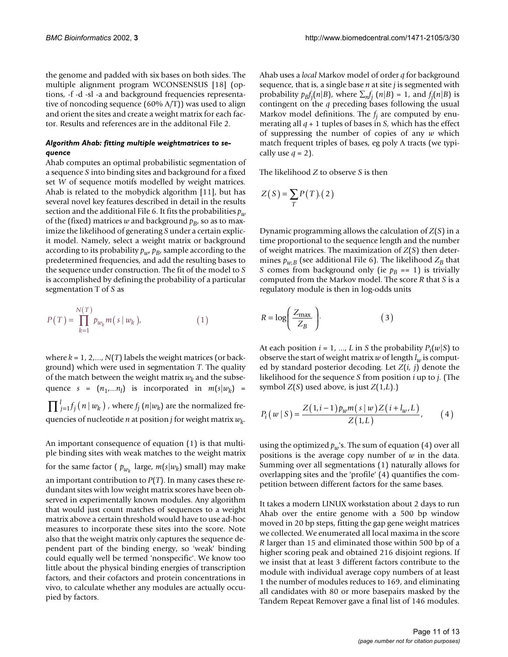the genome and padded with six bases on both sides. The multiple alignment program WCONSENSUS [18] (options, -f -d -sl -a and background frequencies representative of noncoding sequence (60% A/T)) was used to align and orient the sites and create a weight matrix for each factor. Results and references are in the additonal File 2.

#### *Algorithm Ahab: fitting multiple weightmatrices to sequence*

Ahab computes an optimal probabilistic segmentation of a sequence *S* into binding sites and background for a fixed set *W* of sequence motifs modelled by weight matrices. Ahab is related to the mobydick algorithm [11], but has several novel key features described in detail in the results section and the additional File 6. It fits the probabilities  $p_w$ of the (fixed) matrices *w* and background  $p_B$ , so as to maximize the likelihood of generating *S* under a certain explicit model. Namely, select a weight matrix or background according to its probability  $p_w$ ,  $p_B$ , sample according to the predetermined frequencies, and add the resulting bases to the sequence under construction. The fit of the model to *S* is accomplished by defining the probability of a particular segmentation T of *S* as

$$
P(T) = \prod_{k=1}^{N(T)} p_{w_k} m(s | w_k),
$$
 (1)

where  $k = 1, 2, \ldots, N(T)$  labels the weight matrices (or background) which were used in segmentation *T*. The quality of the match between the weight matrix  $w_k$  and the subsequence  $s = (n_1,...n_l)$  is incorporated in  $m(s|w_k)$  =  $\prod_{j=1}^{l} f_j(n \,|\, w_k)$  , where  $f_j(n|w_k)$  are the normalized frequencies of nucleotide *n* at position *j* for weight matrix  $w_k$ .

An important consequence of equation (1) is that multiple binding sites with weak matches to the weight matrix for the same factor (  $p_{w_k}$  large,  $m(s|w_k)$  small) may make an important contribution to *P*(*T*). In many cases these redundant sites with low weight matrix scores have been observed in experimentally known modules. Any algorithm that would just count matches of sequences to a weight matrix above a certain threshold would have to use ad-hoc measures to incorporate these sites into the score. Note also that the weight matrix only captures the sequence dependent part of the binding energy, so 'weak' binding could equally well be termed 'nonspecific'. We know too little about the physical binding energies of transcription factors, and their cofactors and protein concentrations in vivo, to calculate whether any modules are actually occupied by factors.

Ahab uses a *local* Markov model of order *q* for background sequence, that is, a single base *n* at site *j* is segmented with probability  $p_B f_j(n|B)$ , where  $\sum_n f_j(n|B) = 1$ , and  $f_j(n|B)$  is contingent on the *q* preceding bases following the usual Markov model definitions. The *fj* are computed by enumerating all *q* + 1 tuples of bases in *S,* which has the effect of suppressing the number of copies of any *w* which match frequent triples of bases, eg poly A tracts (we typically use  $q = 2$ ).

The likelihood *Z* to observe *S* is then

$$
Z(S) = \sum_{T} P(T) . (2)
$$

Dynamic programming allows the calculation of *Z*(*S*) in a time proportional to the sequence length and the number of weight matrices. The maximization of *Z*(*S*) then determines  $p_{w,B}$  (see additional File 6). The likelihood  $Z_B$  that *S* comes from background only (ie  $p_B == 1$ ) is trivially computed from the Markov model. The score *R* that *S* is a regulatory module is then in log-odds units

$$
R = \log\left(\frac{Z_{\text{max}}}{Z_B}\right). \tag{3}
$$

At each position  $i = 1, ..., L$  in *S* the probability  $P_i(w|S)$  to observe the start of weight matrix  $w$  of length  $l_w$  is computed by standard posterior decoding. Let *Z*(*i, j*) denote the likelihood for the sequence *S* from position *i* up to *j.* (The symbol *Z*(*S*) used above, is just *Z*(1,*L*).)

$$
P_i(w \mid S) = \frac{Z(1, i-1)p_w m(s \mid w) Z(i + l_w, L)}{Z(1, L)},
$$
 (4)

using the optimized  $p_w$ 's. The sum of equation (4) over all positions is the average copy number of *w* in the data. Summing over all segmentations (1) naturally allows for overlapping sites and the 'profile' (4) quantifies the competition between different factors for the same bases.

It takes a modern LINUX workstation about 2 days to run Ahab over the entire genome with a 500 bp window moved in 20 bp steps, fitting the gap gene weight matrices we collected. We enumerated all local maxima in the score *R* larger than 15 and eliminated those within 500 bp of a higher scoring peak and obtained 216 disjoint regions. If we insist that at least 3 different factors contribute to the module with individual average copy numbers of at least 1 the number of modules reduces to 169, and eliminating all candidates with 80 or more basepairs masked by the Tandem Repeat Remover gave a final list of 146 modules.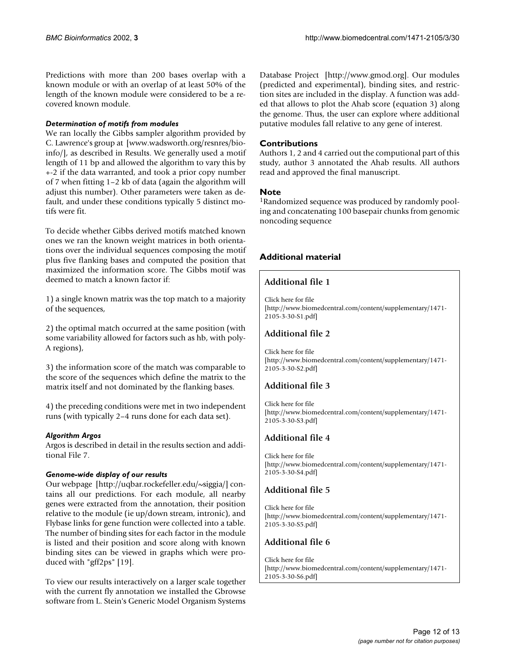Predictions with more than 200 bases overlap with a known module or with an overlap of at least 50% of the length of the known module were considered to be a recovered known module.

#### *Determination of motifs from modules*

[We ran locally the Gibbs sampler algorithm provided by](www.wadsworth.org/resnres/bioinfo/) C. Lawrence's group at [www.wadsworth.org/resnres/bioinfo/], as described in Results. We generally used a motif length of 11 bp and allowed the algorithm to vary this by +-2 if the data warranted, and took a prior copy number of 7 when fitting 1–2 kb of data (again the algorithm will adjust this number). Other parameters were taken as default, and under these conditions typically 5 distinct motifs were fit.

To decide whether Gibbs derived motifs matched known ones we ran the known weight matrices in both orientations over the individual sequences composing the motif plus five flanking bases and computed the position that maximized the information score. The Gibbs motif was deemed to match a known factor if:

1) a single known matrix was the top match to a majority of the sequences,

2) the optimal match occurred at the same position (with some variability allowed for factors such as hb, with poly-A regions),

3) the information score of the match was comparable to the score of the sequences which define the matrix to the matrix itself and not dominated by the flanking bases.

4) the preceding conditions were met in two independent runs (with typically 2–4 runs done for each data set).

#### *Algorithm Argos*

Argos is described in detail in the results section and additional File 7.

#### *Genome-wide display of our results*

[Our webpage \[http://uqbar.rockefeller.edu/~siggia/\] con](http://uqbar.rockefeller.edu/~siggia/)tains all our predictions. For each module, all nearby genes were extracted from the annotation, their position relative to the module (ie up/down stream, intronic), and Flybase links for gene function were collected into a table. The number of binding sites for each factor in the module is listed and their position and score along with known binding sites can be viewed in graphs which were produced with "gff2ps" [19].

[To view our results interactively on a larger scale together](http://www.gmod.org) with the current fly annotation we installed the Gbrowse software from L. Stein's Generic Model Organism Systems [Database Project \[http://www.gmod.org\]. Our modules](http://www.gmod.org) (predicted and experimental), binding sites, and restriction sites are included in the display. A function was added that allows to plot the Ahab score (equation 3) along the genome. Thus, the user can explore where additional putative modules fall relative to any gene of interest.

### **Contributions**

Authors 1, 2 and 4 carried out the computional part of this study, author 3 annotated the Ahab results. All authors read and approved the final manuscript.

#### **Note**

1Randomized sequence was produced by randomly pooling and concatenating 100 basepair chunks from genomic noncoding sequence

### **Additional material**

# **Additional file 1**

[Click here for file](http://www.biomedcentral.com/content/supplementary/1471-2105-3-30-S1.pdf) [\[http://www.biomedcentral.com/content/supplementary/1471-](http://www.biomedcentral.com/content/supplementary/1471-2105-3-30-S1.pdf) 2105-3-30-S1.pdf]

# **Additional file 2**

[Click here for file](http://www.biomedcentral.com/content/supplementary/1471-2105-3-30-S2.pdf) [\[http://www.biomedcentral.com/content/supplementary/1471-](http://www.biomedcentral.com/content/supplementary/1471-2105-3-30-S2.pdf) 2105-3-30-S2.pdf]

# **Additional file 3**

[Click here for file](http://www.biomedcentral.com/content/supplementary/1471-2105-3-30-S3.pdf) [\[http://www.biomedcentral.com/content/supplementary/1471-](http://www.biomedcentral.com/content/supplementary/1471-2105-3-30-S3.pdf) 2105-3-30-S3.pdf]

# **Additional file 4**

[Click here for file](http://www.biomedcentral.com/content/supplementary/1471-2105-3-30-S4.pdf) [\[http://www.biomedcentral.com/content/supplementary/1471-](http://www.biomedcentral.com/content/supplementary/1471-2105-3-30-S4.pdf) 2105-3-30-S4.pdf]

# **Additional file 5**

[Click here for file](http://www.biomedcentral.com/content/supplementary/1471-2105-3-30-S5.pdf) [\[http://www.biomedcentral.com/content/supplementary/1471-](http://www.biomedcentral.com/content/supplementary/1471-2105-3-30-S5.pdf) 2105-3-30-S5.pdf]

# **Additional file 6**

[Click here for file](http://www.biomedcentral.com/content/supplementary/1471-2105-3-30-S6.pdf) [\[http://www.biomedcentral.com/content/supplementary/1471-](http://www.biomedcentral.com/content/supplementary/1471-2105-3-30-S6.pdf) 2105-3-30-S6.pdf]